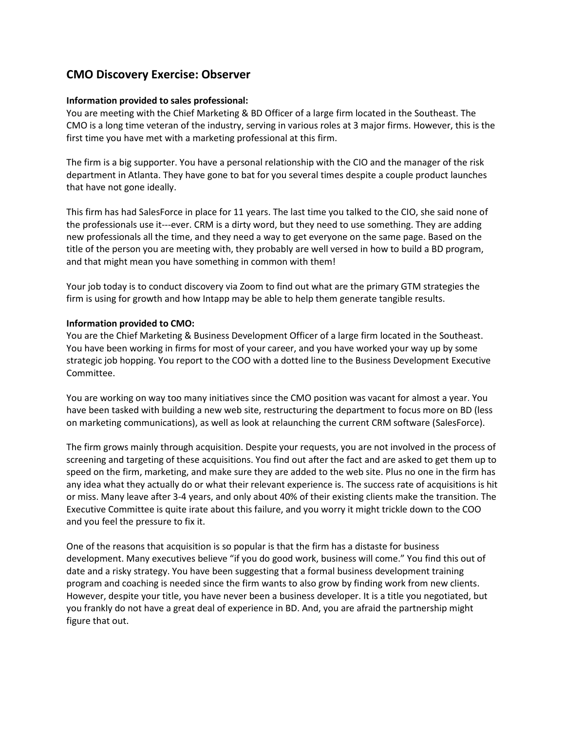# **CMO Discovery Exercise: Observer**

### **Information provided to sales professional:**

You are meeting with the Chief Marketing & BD Officer of a large firm located in the Southeast. The CMO is a long time veteran of the industry, serving in various roles at 3 major firms. However, this is the first time you have met with a marketing professional at this firm.

The firm is a big supporter. You have a personal relationship with the CIO and the manager of the risk department in Atlanta. They have gone to bat for you several times despite a couple product launches that have not gone ideally.

This firm has had SalesForce in place for 11 years. The last time you talked to the CIO, she said none of the professionals use it---ever. CRM is a dirty word, but they need to use something. They are adding new professionals all the time, and they need a way to get everyone on the same page. Based on the title of the person you are meeting with, they probably are well versed in how to build a BD program, and that might mean you have something in common with them!

Your job today is to conduct discovery via Zoom to find out what are the primary GTM strategies the firm is using for growth and how Intapp may be able to help them generate tangible results.

#### **Information provided to CMO:**

You are the Chief Marketing & Business Development Officer of a large firm located in the Southeast. You have been working in firms for most of your career, and you have worked your way up by some strategic job hopping. You report to the COO with a dotted line to the Business Development Executive Committee.

You are working on way too many initiatives since the CMO position was vacant for almost a year. You have been tasked with building a new web site, restructuring the department to focus more on BD (less on marketing communications), as well as look at relaunching the current CRM software (SalesForce).

The firm grows mainly through acquisition. Despite your requests, you are not involved in the process of screening and targeting of these acquisitions. You find out after the fact and are asked to get them up to speed on the firm, marketing, and make sure they are added to the web site. Plus no one in the firm has any idea what they actually do or what their relevant experience is. The success rate of acquisitions is hit or miss. Many leave after 3-4 years, and only about 40% of their existing clients make the transition. The Executive Committee is quite irate about this failure, and you worry it might trickle down to the COO and you feel the pressure to fix it.

One of the reasons that acquisition is so popular is that the firm has a distaste for business development. Many executives believe "if you do good work, business will come." You find this out of date and a risky strategy. You have been suggesting that a formal business development training program and coaching is needed since the firm wants to also grow by finding work from new clients. However, despite your title, you have never been a business developer. It is a title you negotiated, but you frankly do not have a great deal of experience in BD. And, you are afraid the partnership might figure that out.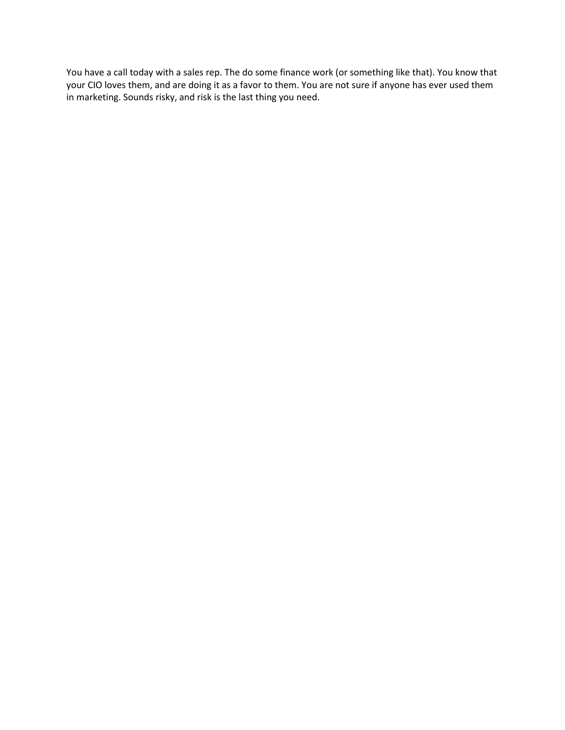You have a call today with a sales rep. The do some finance work (or something like that). You know that your CIO loves them, and are doing it as a favor to them. You are not sure if anyone has ever used them in marketing. Sounds risky, and risk is the last thing you need.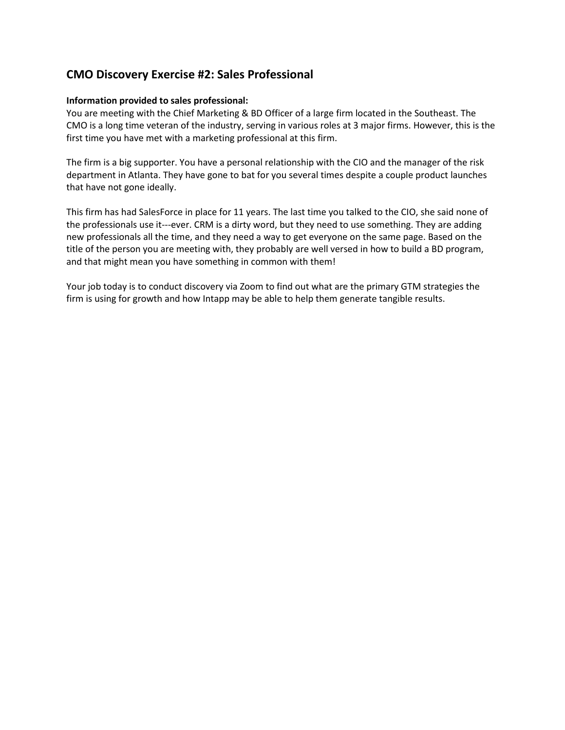# **CMO Discovery Exercise #2: Sales Professional**

### **Information provided to sales professional:**

You are meeting with the Chief Marketing & BD Officer of a large firm located in the Southeast. The CMO is a long time veteran of the industry, serving in various roles at 3 major firms. However, this is the first time you have met with a marketing professional at this firm.

The firm is a big supporter. You have a personal relationship with the CIO and the manager of the risk department in Atlanta. They have gone to bat for you several times despite a couple product launches that have not gone ideally.

This firm has had SalesForce in place for 11 years. The last time you talked to the CIO, she said none of the professionals use it---ever. CRM is a dirty word, but they need to use something. They are adding new professionals all the time, and they need a way to get everyone on the same page. Based on the title of the person you are meeting with, they probably are well versed in how to build a BD program, and that might mean you have something in common with them!

Your job today is to conduct discovery via Zoom to find out what are the primary GTM strategies the firm is using for growth and how Intapp may be able to help them generate tangible results.